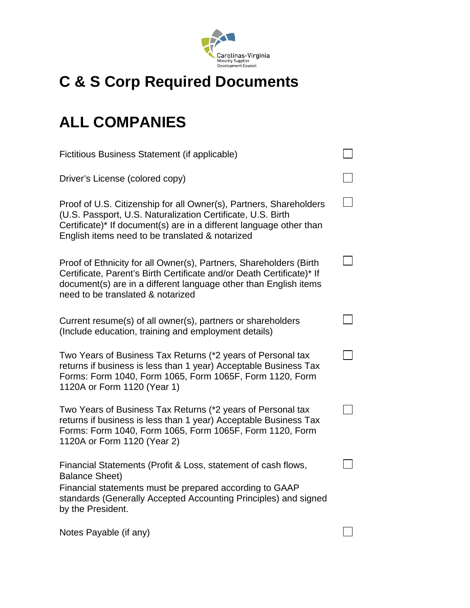

## **C & S Corp Required Documents**

## **ALL COMPANIES**

| Fictitious Business Statement (if applicable)                                                                                                                                                                                                               |  |
|-------------------------------------------------------------------------------------------------------------------------------------------------------------------------------------------------------------------------------------------------------------|--|
| Driver's License (colored copy)                                                                                                                                                                                                                             |  |
| Proof of U.S. Citizenship for all Owner(s), Partners, Shareholders<br>(U.S. Passport, U.S. Naturalization Certificate, U.S. Birth<br>Certificate)* If document(s) are in a different language other than<br>English items need to be translated & notarized |  |
| Proof of Ethnicity for all Owner(s), Partners, Shareholders (Birth<br>Certificate, Parent's Birth Certificate and/or Death Certificate)* If<br>document(s) are in a different language other than English items<br>need to be translated & notarized        |  |
| Current resume(s) of all owner(s), partners or shareholders<br>(Include education, training and employment details)                                                                                                                                         |  |
| Two Years of Business Tax Returns (*2 years of Personal tax<br>returns if business is less than 1 year) Acceptable Business Tax<br>Forms: Form 1040, Form 1065, Form 1065F, Form 1120, Form<br>1120A or Form 1120 (Year 1)                                  |  |
| Two Years of Business Tax Returns (*2 years of Personal tax<br>returns if business is less than 1 year) Acceptable Business Tax<br>Forms: Form 1040, Form 1065, Form 1065F, Form 1120, Form<br>1120A or Form 1120 (Year 2)                                  |  |
| Financial Statements (Profit & Loss, statement of cash flows,<br><b>Balance Sheet)</b><br>Financial statements must be prepared according to GAAP<br>standards (Generally Accepted Accounting Principles) and signed<br>by the President.                   |  |
| Notes Payable (if any)                                                                                                                                                                                                                                      |  |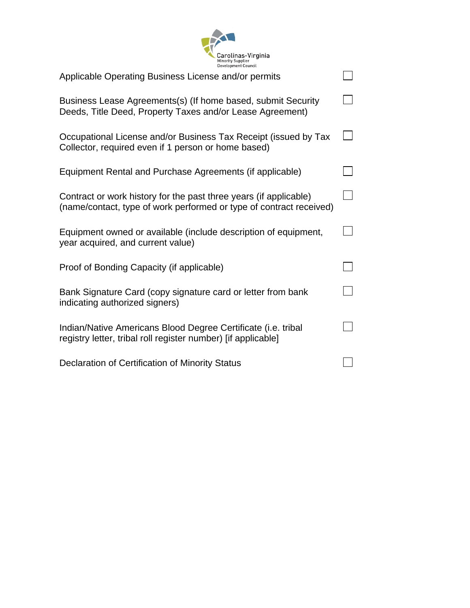

| Applicable Operating Business License and/or permits                                                                                     |  |
|------------------------------------------------------------------------------------------------------------------------------------------|--|
| Business Lease Agreements(s) (If home based, submit Security<br>Deeds, Title Deed, Property Taxes and/or Lease Agreement)                |  |
| Occupational License and/or Business Tax Receipt (issued by Tax<br>Collector, required even if 1 person or home based)                   |  |
| Equipment Rental and Purchase Agreements (if applicable)                                                                                 |  |
| Contract or work history for the past three years (if applicable)<br>(name/contact, type of work performed or type of contract received) |  |
| Equipment owned or available (include description of equipment,<br>year acquired, and current value)                                     |  |
| Proof of Bonding Capacity (if applicable)                                                                                                |  |
| Bank Signature Card (copy signature card or letter from bank<br>indicating authorized signers)                                           |  |
| Indian/Native Americans Blood Degree Certificate (i.e. tribal<br>registry letter, tribal roll register number) [if applicable]           |  |
| Declaration of Certification of Minority Status                                                                                          |  |